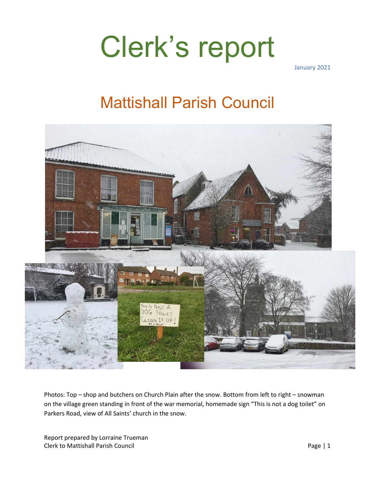January 2021

### Mattishall Parish Council



Photos: Top – shop and butchers on Church Plain after the snow. Bottom from left to right – snowman on the village green standing in front of the war memorial, homemade sign "This is not a dog toilet" on Parkers Road, view of All Saints' church in the snow.

Report prepared by Lorraine Trueman Clerk to Mattishall Parish Council and the control of the Page | 1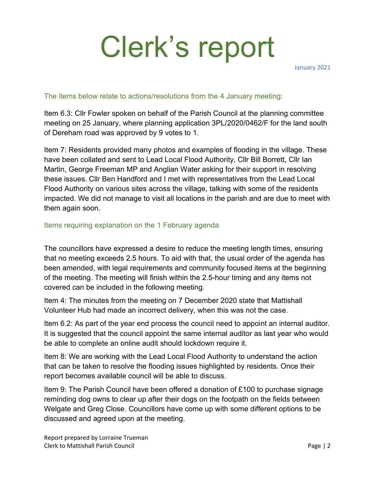January 2021

#### The items below relate to actions/resolutions from the 4 January meeting:

Item 6.3: Cllr Fowler spoken on behalf of the Parish Council at the planning committee meeting on 25 January, where planning application 3PL/2020/0462/F for the land south of Dereham road was approved by 9 votes to 1.

Item 7: Residents provided many photos and examples of flooding in the village. These have been collated and sent to Lead Local Flood Authority, Cllr Bill Borrett, Cllr Ian Martin, George Freeman MP and Anglian Water asking for their support in resolving these issues. Cllr Ben Handford and I met with representatives from the Lead Local Flood Authority on various sites across the village, talking with some of the residents impacted. We did not manage to visit all locations in the parish and are due to meet with them again soon.

#### Items requiring explanation on the 1 February agenda

The councillors have expressed a desire to reduce the meeting length times, ensuring that no meeting exceeds 2.5 hours. To aid with that, the usual order of the agenda has been amended, with legal requirements and community focused items at the beginning of the meeting. The meeting will finish within the 2.5-hour timing and any items not covered can be included in the following meeting.

Item 4: The minutes from the meeting on 7 December 2020 state that Mattishall Volunteer Hub had made an incorrect delivery, when this was not the case.

Item 6.2: As part of the year end process the council need to appoint an internal auditor. It is suggested that the council appoint the same internal auditor as last year who would be able to complete an online audit should lockdown require it.

Item 8: We are working with the Lead Local Flood Authority to understand the action that can be taken to resolve the flooding issues highlighted by residents. Once their report becomes available council will be able to discuss.

Item 9: The Parish Council have been offered a donation of £100 to purchase signage reminding dog owns to clear up after their dogs on the footpath on the fields between Welgate and Greg Close. Councillors have come up with some different options to be discussed and agreed upon at the meeting.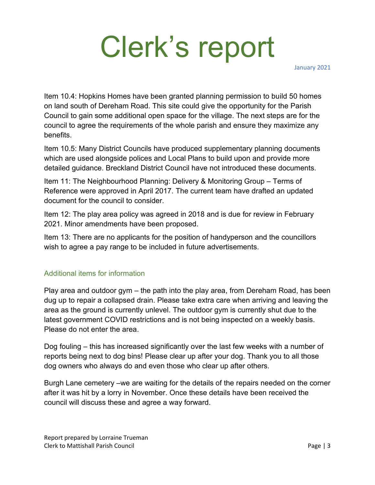January 2021

Item 10.4: Hopkins Homes have been granted planning permission to build 50 homes on land south of Dereham Road. This site could give the opportunity for the Parish Council to gain some additional open space for the village. The next steps are for the council to agree the requirements of the whole parish and ensure they maximize any benefits.

Item 10.5: Many District Councils have produced supplementary planning documents which are used alongside polices and Local Plans to build upon and provide more detailed guidance. Breckland District Council have not introduced these documents.

Item 11: The Neighbourhood Planning: Delivery & Monitoring Group – Terms of Reference were approved in April 2017. The current team have drafted an updated document for the council to consider.

Item 12: The play area policy was agreed in 2018 and is due for review in February 2021. Minor amendments have been proposed.

Item 13: There are no applicants for the position of handyperson and the councillors wish to agree a pay range to be included in future advertisements.

#### Additional items for information

Play area and outdoor gym – the path into the play area, from Dereham Road, has been dug up to repair a collapsed drain. Please take extra care when arriving and leaving the area as the ground is currently unlevel. The outdoor gym is currently shut due to the latest government COVID restrictions and is not being inspected on a weekly basis. Please do not enter the area.

Dog fouling – this has increased significantly over the last few weeks with a number of reports being next to dog bins! Please clear up after your dog. Thank you to all those dog owners who always do and even those who clear up after others.

Burgh Lane cemetery –we are waiting for the details of the repairs needed on the corner after it was hit by a lorry in November. Once these details have been received the council will discuss these and agree a way forward.